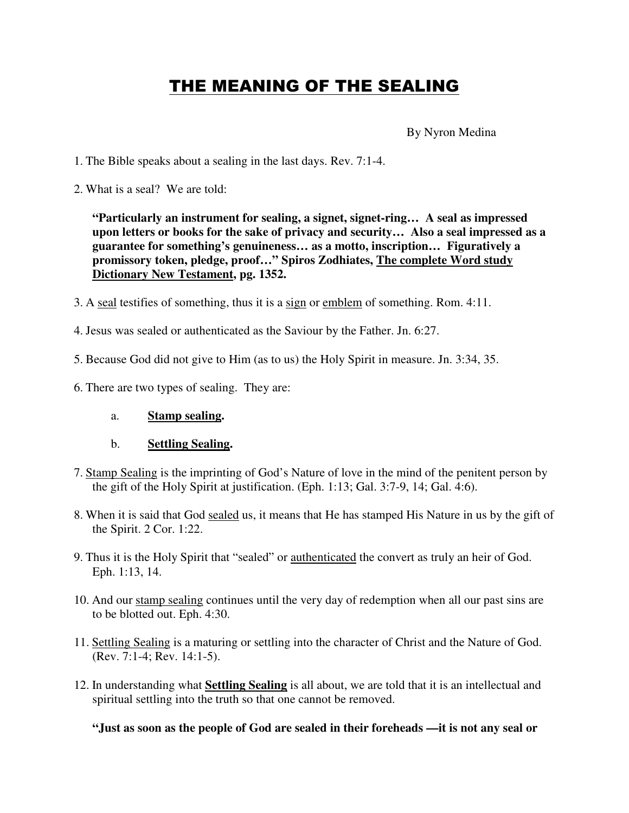## THE MEANING OF THE SEALING

By Nyron Medina

- 1. The Bible speaks about a sealing in the last days. Rev. 7:1-4.
- 2. What is a seal? We are told:

**"Particularly an instrument for sealing, a signet, signet-ring… A seal as impressed upon letters or books for the sake of privacy and security… Also a seal impressed as a guarantee for something's genuineness… as a motto, inscription… Figuratively a promissory token, pledge, proof…" Spiros Zodhiates, The complete Word study Dictionary New Testament, pg. 1352.**

- 3. A seal testifies of something, thus it is a sign or emblem of something. Rom. 4:11.
- 4. Jesus was sealed or authenticated as the Saviour by the Father. Jn. 6:27.
- 5. Because God did not give to Him (as to us) the Holy Spirit in measure. Jn. 3:34, 35.
- 6. There are two types of sealing. They are:
	- a. **Stamp sealing.**
	- b. **Settling Sealing.**
- 7. Stamp Sealing is the imprinting of God's Nature of love in the mind of the penitent person by the gift of the Holy Spirit at justification. (Eph. 1:13; Gal. 3:7-9, 14; Gal. 4:6).
- 8. When it is said that God sealed us, it means that He has stamped His Nature in us by the gift of the Spirit. 2 Cor. 1:22.
- 9. Thus it is the Holy Spirit that "sealed" or authenticated the convert as truly an heir of God. Eph. 1:13, 14.
- 10. And our stamp sealing continues until the very day of redemption when all our past sins are to be blotted out. Eph. 4:30.
- 11. Settling Sealing is a maturing or settling into the character of Christ and the Nature of God. (Rev. 7:1-4; Rev. 14:1-5).
- 12. In understanding what **Settling Sealing** is all about, we are told that it is an intellectual and spiritual settling into the truth so that one cannot be removed.

**"Just as soon as the people of God are sealed in their foreheads —it is not any seal or**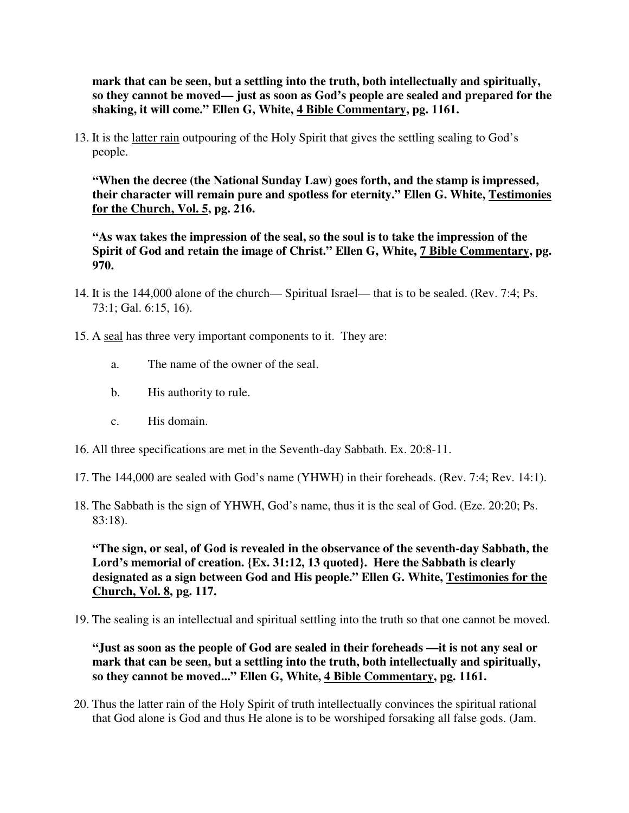**mark that can be seen, but a settling into the truth, both intellectually and spiritually, so they cannot be moved— just as soon as God's people are sealed and prepared for the shaking, it will come." Ellen G, White, 4 Bible Commentary, pg. 1161.**

13. It is the latter rain outpouring of the Holy Spirit that gives the settling sealing to God's people.

**"When the decree (the National Sunday Law) goes forth, and the stamp is impressed, their character will remain pure and spotless for eternity." Ellen G. White, Testimonies for the Church, Vol. 5, pg. 216.**

**"As wax takes the impression of the seal, so the soul is to take the impression of the Spirit of God and retain the image of Christ." Ellen G, White, 7 Bible Commentary, pg. 970.**

- 14. It is the 144,000 alone of the church— Spiritual Israel— that is to be sealed. (Rev. 7:4; Ps. 73:1; Gal. 6:15, 16).
- 15. A seal has three very important components to it. They are:
	- a. The name of the owner of the seal.
	- b. His authority to rule.
	- c. His domain.
- 16. All three specifications are met in the Seventh-day Sabbath. Ex. 20:8-11.
- 17. The 144,000 are sealed with God's name (YHWH) in their foreheads. (Rev. 7:4; Rev. 14:1).
- 18. The Sabbath is the sign of YHWH, God's name, thus it is the seal of God. (Eze. 20:20; Ps. 83:18).

**"The sign, or seal, of God is revealed in the observance of the seventh-day Sabbath, the Lord's memorial of creation. {Ex. 31:12, 13 quoted}. Here the Sabbath is clearly designated as a sign between God and His people." Ellen G. White, Testimonies for the Church, Vol. 8, pg. 117.**

19. The sealing is an intellectual and spiritual settling into the truth so that one cannot be moved.

**"Just as soon as the people of God are sealed in their foreheads —it is not any seal or mark that can be seen, but a settling into the truth, both intellectually and spiritually, so they cannot be moved..." Ellen G, White, 4 Bible Commentary, pg. 1161.**

20. Thus the latter rain of the Holy Spirit of truth intellectually convinces the spiritual rational that God alone is God and thus He alone is to be worshiped forsaking all false gods. (Jam.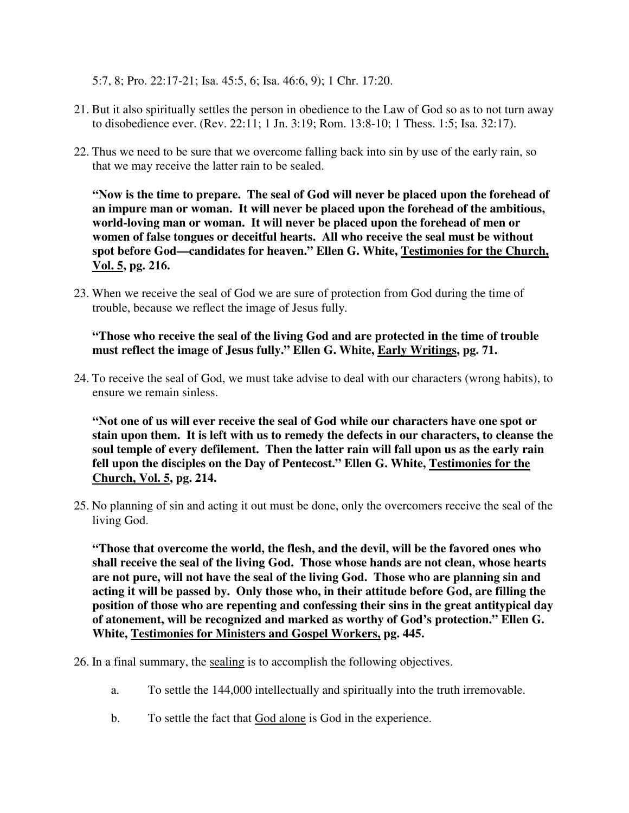5:7, 8; Pro. 22:17-21; Isa. 45:5, 6; Isa. 46:6, 9); 1 Chr. 17:20.

- 21. But it also spiritually settles the person in obedience to the Law of God so as to not turn away to disobedience ever. (Rev. 22:11; 1 Jn. 3:19; Rom. 13:8-10; 1 Thess. 1:5; Isa. 32:17).
- 22. Thus we need to be sure that we overcome falling back into sin by use of the early rain, so that we may receive the latter rain to be sealed.

**"Now is the time to prepare. The seal of God will never be placed upon the forehead of an impure man or woman. It will never be placed upon the forehead of the ambitious, world-loving man or woman. It will never be placed upon the forehead of men or women of false tongues or deceitful hearts. All who receive the seal must be without spot before God—candidates for heaven." Ellen G. White, Testimonies for the Church, Vol. 5, pg. 216.**

23. When we receive the seal of God we are sure of protection from God during the time of trouble, because we reflect the image of Jesus fully.

**"Those who receive the seal of the living God and are protected in the time of trouble must reflect the image of Jesus fully." Ellen G. White, Early Writings, pg. 71.**

24. To receive the seal of God, we must take advise to deal with our characters (wrong habits), to ensure we remain sinless.

**"Not one of us will ever receive the seal of God while our characters have one spot or stain upon them. It is left with us to remedy the defects in our characters, to cleanse the soul temple of every defilement. Then the latter rain will fall upon us as the early rain fell upon the disciples on the Day of Pentecost." Ellen G. White, Testimonies for the Church, Vol. 5, pg. 214.**

25. No planning of sin and acting it out must be done, only the overcomers receive the seal of the living God.

**"Those that overcome the world, the flesh, and the devil, will be the favored ones who shall receive the seal of the living God. Those whose hands are not clean, whose hearts are not pure, will not have the seal of the living God. Those who are planning sin and acting it will be passed by. Only those who, in their attitude before God, are filling the position of those who are repenting and confessing their sins in the great antitypical day of atonement, will be recognized and marked as worthy of God's protection." Ellen G. White, Testimonies for Ministers and Gospel Workers, pg. 445.**

26. In a final summary, the sealing is to accomplish the following objectives.

- a. To settle the 144,000 intellectually and spiritually into the truth irremovable.
- b. To settle the fact that God alone is God in the experience.